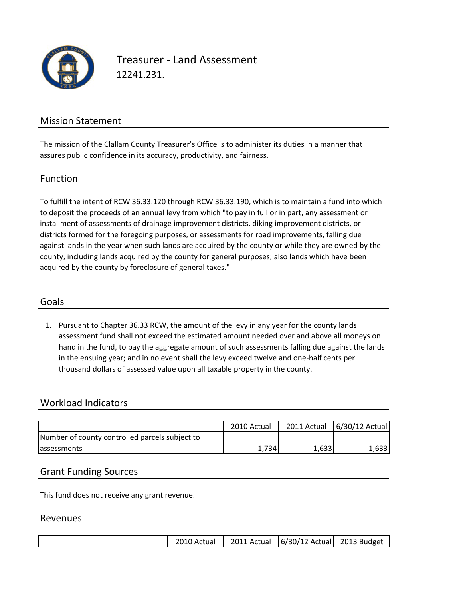

Treasurer ‐ Land Assessment 12241.231.

## Mission Statement

The mission of the Clallam County Treasurer's Office is to administer its duties in a manner that assures public confidence in its accuracy, productivity, and fairness.

#### Function

To fulfill the intent of RCW 36.33.120 through RCW 36.33.190, which is to maintain a fund into which to deposit the proceeds of an annual levy from which "to pay in full or in part, any assessment or installment of assessments of drainage improvement districts, diking improvement districts, or districts formed for the foregoing purposes, or assessments for road improvements, falling due against lands in the year when such lands are acquired by the county or while they are owned by the county, including lands acquired by the county for general purposes; also lands which have been acquired by the county by foreclosure of general taxes."

### Goals

1. Pursuant to Chapter 36.33 RCW, the amount of the levy in any year for the county lands assessment fund shall not exceed the estimated amount needed over and above all moneys on hand in the fund, to pay the aggregate amount of such assessments falling due against the lands in the ensuing year; and in no event shall the levy exceed twelve and one‐half cents per thousand dollars of assessed value upon all taxable property in the county.

### Workload Indicators

|                                                | 2010 Actual |       | 2011 Actual 6/30/12 Actual |
|------------------------------------------------|-------------|-------|----------------------------|
| Number of county controlled parcels subject to |             |       |                            |
| <b>lassessments</b>                            | 1.734       | 1,633 | 1,633                      |

### Grant Funding Sources

This fund does not receive any grant revenue.

#### Revenues

|  |  | 2010 Actual |  | 2011 Actual 6/30/12 Actual 2013 Budget |  |
|--|--|-------------|--|----------------------------------------|--|
|--|--|-------------|--|----------------------------------------|--|